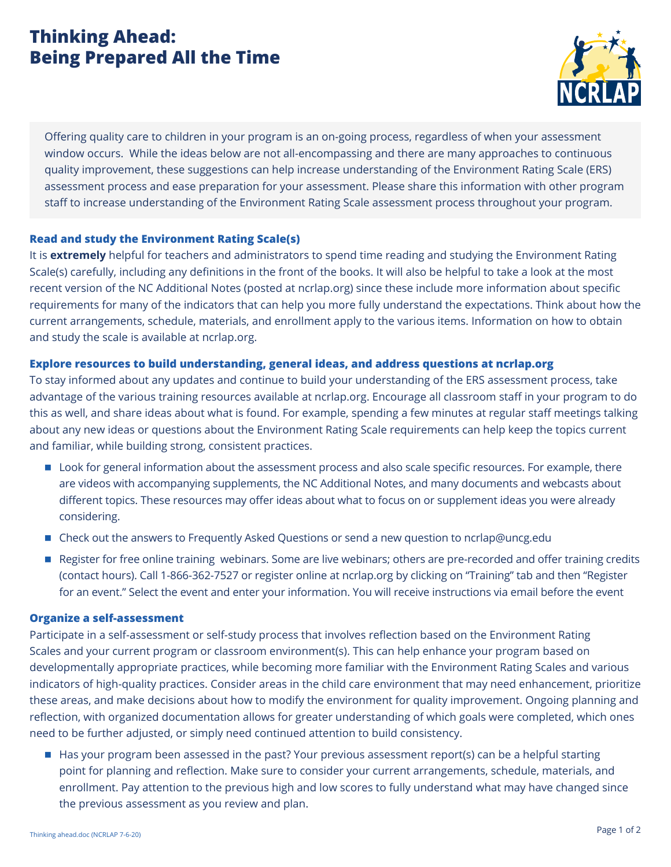# **Thinking Ahead: Being Prepared All the Time**



Offering quality care to children in your program is an on-going process, regardless of when your assessment window occurs. While the ideas below are not all-encompassing and there are many approaches to continuous quality improvement, these suggestions can help increase understanding of the Environment Rating Scale (ERS) assessment process and ease preparation for your assessment. Please share this information with other program staff to increase understanding of the Environment Rating Scale assessment process throughout your program.

### **Read and study the Environment Rating Scale(s)**

It is **extremely** helpful for teachers and administrators to spend time reading and studying the Environment Rating Scale(s) carefully, including any definitions in the front of the books. It will also be helpful to take a look at the most recent version of the NC Additional Notes (posted at ncrlap.org) since these include more information about specific requirements for many of the indicators that can help you more fully understand the expectations. Think about how the current arrangements, schedule, materials, and enrollment apply to the various items. Information on how to obtain and study the scale is available at ncrlap.org.

#### **Explore resources to build understanding, general ideas, and address questions at ncrlap.org**

To stay informed about any updates and continue to build your understanding of the ERS assessment process, take advantage of the various training resources available at ncrlap.org. Encourage all classroom staff in your program to do this as well, and share ideas about what is found. For example, spending a few minutes at regular staff meetings talking about any new ideas or questions about the Environment Rating Scale requirements can help keep the topics current and familiar, while building strong, consistent practices.

- Look for general information about the assessment process and also scale specific resources. For example, there are videos with accompanying supplements, the NC Additional Notes, and many documents and webcasts about different topics. These resources may offer ideas about what to focus on or supplement ideas you were already considering.
- Check out the answers to Frequently Asked Questions or send a new question to ncrlap@uncg.edu
- Register for free online training webinars. Some are live webinars; others are pre-recorded and offer training credits (contact hours). Call 1-866-362-7527 or register online at ncrlap.org by clicking on "Training" tab and then "Register for an event." Select the event and enter your information. You will receive instructions via email before the event

#### **Organize a self-assessment**

Participate in a self-assessment or self-study process that involves reflection based on the Environment Rating Scales and your current program or classroom environment(s). This can help enhance your program based on developmentally appropriate practices, while becoming more familiar with the Environment Rating Scales and various indicators of high-quality practices. Consider areas in the child care environment that may need enhancement, prioritize these areas, and make decisions about how to modify the environment for quality improvement. Ongoing planning and reflection, with organized documentation allows for greater understanding of which goals were completed, which ones need to be further adjusted, or simply need continued attention to build consistency.

■ Has your program been assessed in the past? Your previous assessment report(s) can be a helpful starting point for planning and reflection. Make sure to consider your current arrangements, schedule, materials, and enrollment. Pay attention to the previous high and low scores to fully understand what may have changed since the previous assessment as you review and plan.